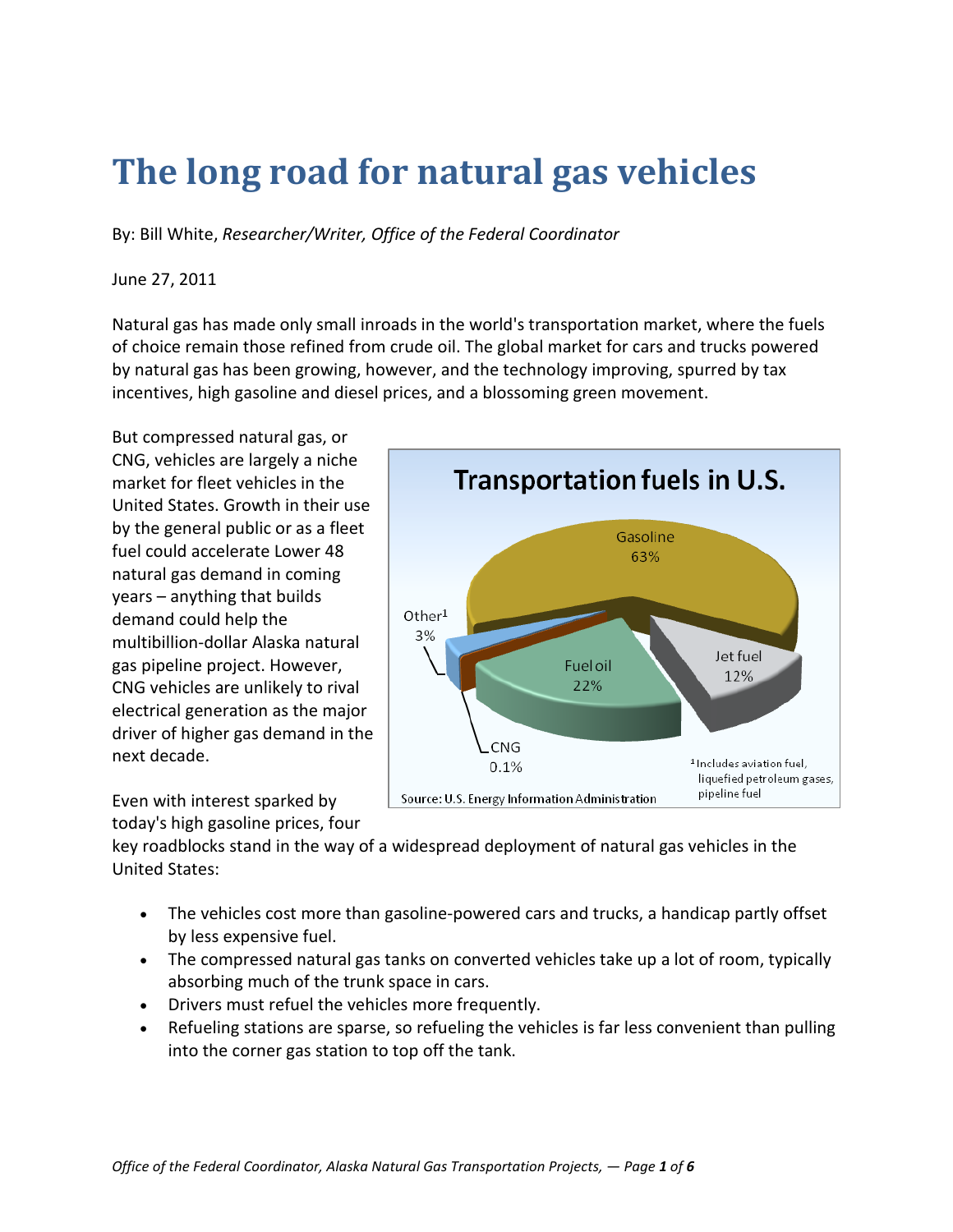# **The long road for natural gas vehicles**

By: Bill White, *Researcher/Writer, Office of the Federal Coordinator*

#### June 27, 2011

Natural gas has made only small inroads in the world's transportation market, where the fuels of choice remain those refined from crude oil. The global market for cars and trucks powered by natural gas has been growing, however, and the technology improving, spurred by tax incentives, high gasoline and diesel prices, and a blossoming green movement.

But compressed natural gas, or CNG, vehicles are largely a niche market for fleet vehicles in the United States. Growth in their use by the general public or as a fleet fuel could accelerate Lower 48 natural gas demand in coming years – anything that builds demand could help the multibillion-dollar Alaska natural gas pipeline project. However, CNG vehicles are unlikely to rival electrical generation as the major driver of higher gas demand in the next decade.

Transportation fuels in U.S. Gasoline 63%  $Other<sup>1</sup>$ 3% Jet fuel Fuel oil 12% 22% CNG <sup>1</sup> Includes aviation fuel, 0.1% liquefied petroleum gases, pipeline fuel Source: U.S. Energy Information Administration

Even with interest sparked by today's high gasoline prices, four

key roadblocks stand in the way of a widespread deployment of natural gas vehicles in the United States:

- The vehicles cost more than gasoline-powered cars and trucks, a handicap partly offset by less expensive fuel.
- The compressed natural gas tanks on converted vehicles take up a lot of room, typically absorbing much of the trunk space in cars.
- Drivers must refuel the vehicles more frequently.
- Refueling stations are sparse, so refueling the vehicles is far less convenient than pulling into the corner gas station to top off the tank.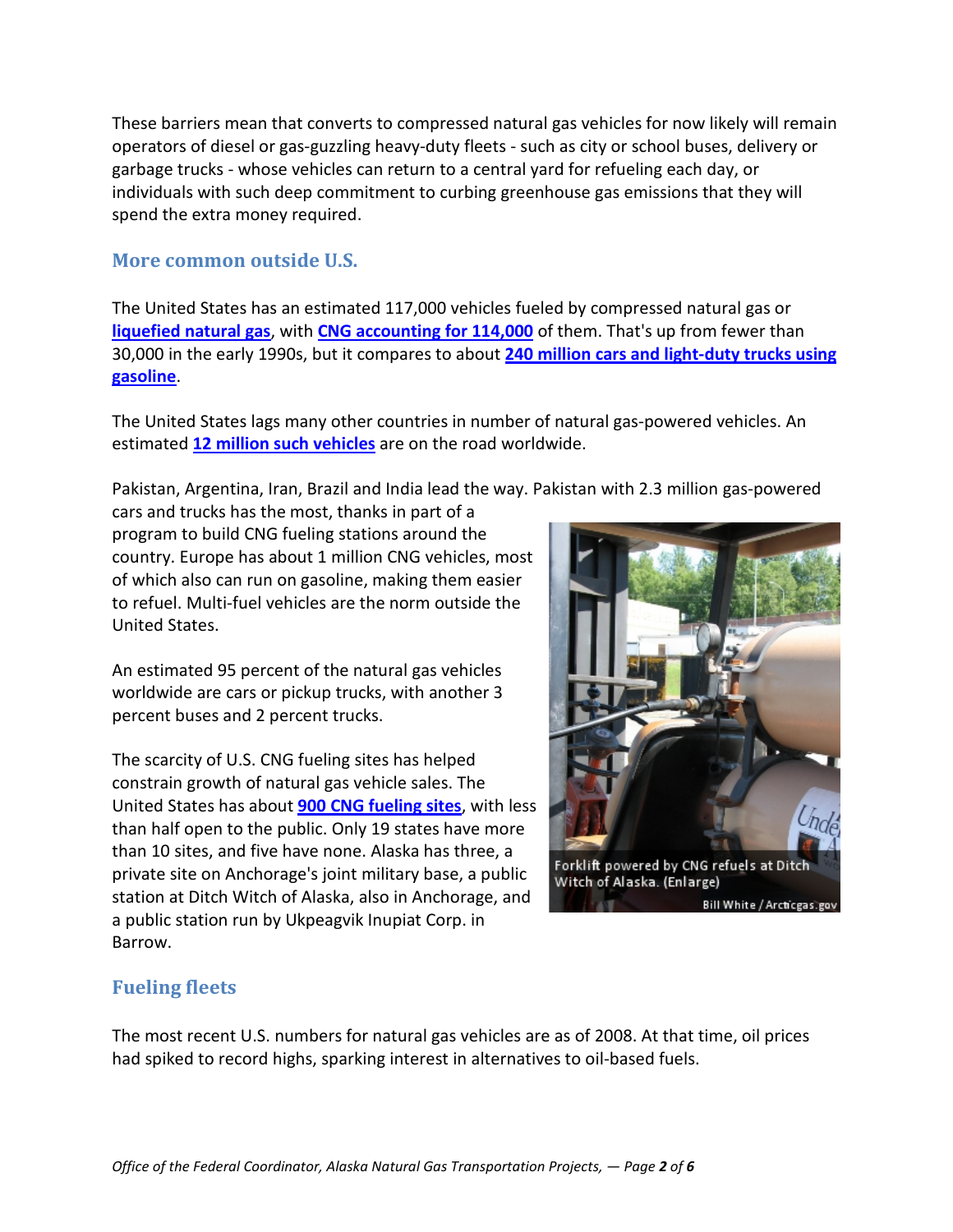These barriers mean that converts to compressed natural gas vehicles for now likely will remain operators of diesel or gas-guzzling heavy-duty fleets - such as city or school buses, delivery or garbage trucks - whose vehicles can return to a central yard for refueling each day, or individuals with such deep commitment to curbing greenhouse gas emissions that they will spend the extra money required.

### **More common outside U.S.**

The United States has an estimated 117,000 vehicles fueled by compressed natural gas or **[liquefied natural gas](http://www.arcticgas.gov/node/600)**, with **[CNG accounting for 114,000](http://www.eia.gov/cneaf/alternate/page/atftables/attf_v1.html)** of them. That's up from fewer than 30,000 in the early 1990s, but it compares to about **[240 million cars and light-duty trucks using](http://cta.ornl.gov/data/tedb29/Edition29_Chapter04.pdf) [gasoline](http://cta.ornl.gov/data/tedb29/Edition29_Chapter04.pdf)**.

The United States lags many other countries in number of natural gas-powered vehicles. An estimated **[12 million such vehicles](http://www.iangv.org/component/content/article/1/145-alternative-fuels-natural-gas-vehicles-cng-lng.html)** are on the road worldwide.

Pakistan, Argentina, Iran, Brazil and India lead the way. Pakistan with 2.3 million gas-powered

cars and trucks has the most, thanks in part of a program to build CNG fueling stations around the country. Europe has about 1 million CNG vehicles, most of which also can run on gasoline, making them easier to refuel. Multi-fuel vehicles are the norm outside the United States.

An estimated 95 percent of the natural gas vehicles worldwide are cars or pickup trucks, with another 3 percent buses and 2 percent trucks.

The scarcity of U.S. CNG fueling sites has helped constrain growth of natural gas vehicle sales. The United States has about **[900 CNG fueling sites](http://www.afdc.energy.gov/afdc/fuels/stations_counts.html)**, with less than half open to the public. Only 19 states have more than 10 sites, and five have none. Alaska has three, a private site on Anchorage's joint military base, a public station at Ditch Witch of Alaska, also in Anchorage, and a public station run by Ukpeagvik Inupiat Corp. in Barrow.



# **Fueling fleets**

The most recent U.S. numbers for natural gas vehicles are as of 2008. At that time, oil prices had spiked to record highs, sparking interest in alternatives to oil-based fuels.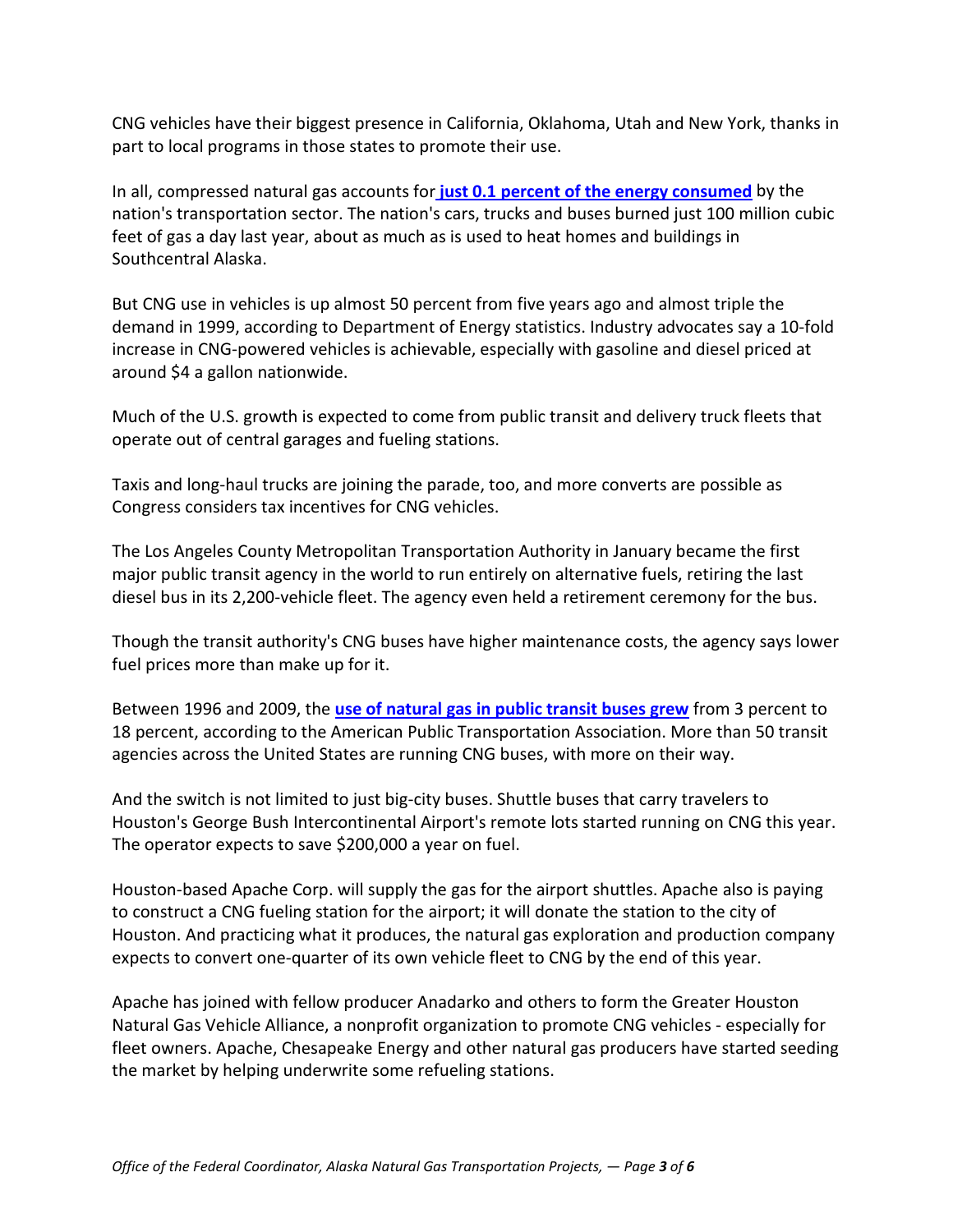CNG vehicles have their biggest presence in California, Oklahoma, Utah and New York, thanks in part to local programs in those states to promote their use.

In all, compressed natural gas accounts for **[just 0.1 percent of the energy consumed](http://www.eia.gov/forecasts/aeo/excel/aeotab_2.xls)** by the nation's transportation sector. The nation's cars, trucks and buses burned just 100 million cubic feet of gas a day last year, about as much as is used to heat homes and buildings in Southcentral Alaska.

But CNG use in vehicles is up almost 50 percent from five years ago and almost triple the demand in 1999, according to Department of Energy statistics. Industry advocates say a 10-fold increase in CNG-powered vehicles is achievable, especially with gasoline and diesel priced at around \$4 a gallon nationwide.

Much of the U.S. growth is expected to come from public transit and delivery truck fleets that operate out of central garages and fueling stations.

Taxis and long-haul trucks are joining the parade, too, and more converts are possible as Congress considers tax incentives for CNG vehicles.

The Los Angeles County Metropolitan Transportation Authority in January became the first major public transit agency in the world to run entirely on alternative fuels, retiring the last diesel bus in its 2,200-vehicle fleet. The agency even held a retirement ceremony for the bus.

Though the transit authority's CNG buses have higher maintenance costs, the agency says lower fuel prices more than make up for it.

Between 1996 and 2009, the **[use of natural gas in public transit buses grew](http://www.apta.com/resources/statistics/Documents/FactBook/APTA_2011_Fact_Book.pdf)** from 3 percent to 18 percent, according to the American Public Transportation Association. More than 50 transit agencies across the United States are running CNG buses, with more on their way.

And the switch is not limited to just big-city buses. Shuttle buses that carry travelers to Houston's George Bush Intercontinental Airport's remote lots started running on CNG this year. The operator expects to save \$200,000 a year on fuel.

Houston-based Apache Corp. will supply the gas for the airport shuttles. Apache also is paying to construct a CNG fueling station for the airport; it will donate the station to the city of Houston. And practicing what it produces, the natural gas exploration and production company expects to convert one-quarter of its own vehicle fleet to CNG by the end of this year.

Apache has joined with fellow producer Anadarko and others to form the Greater Houston Natural Gas Vehicle Alliance, a nonprofit organization to promote CNG vehicles - especially for fleet owners. Apache, Chesapeake Energy and other natural gas producers have started seeding the market by helping underwrite some refueling stations.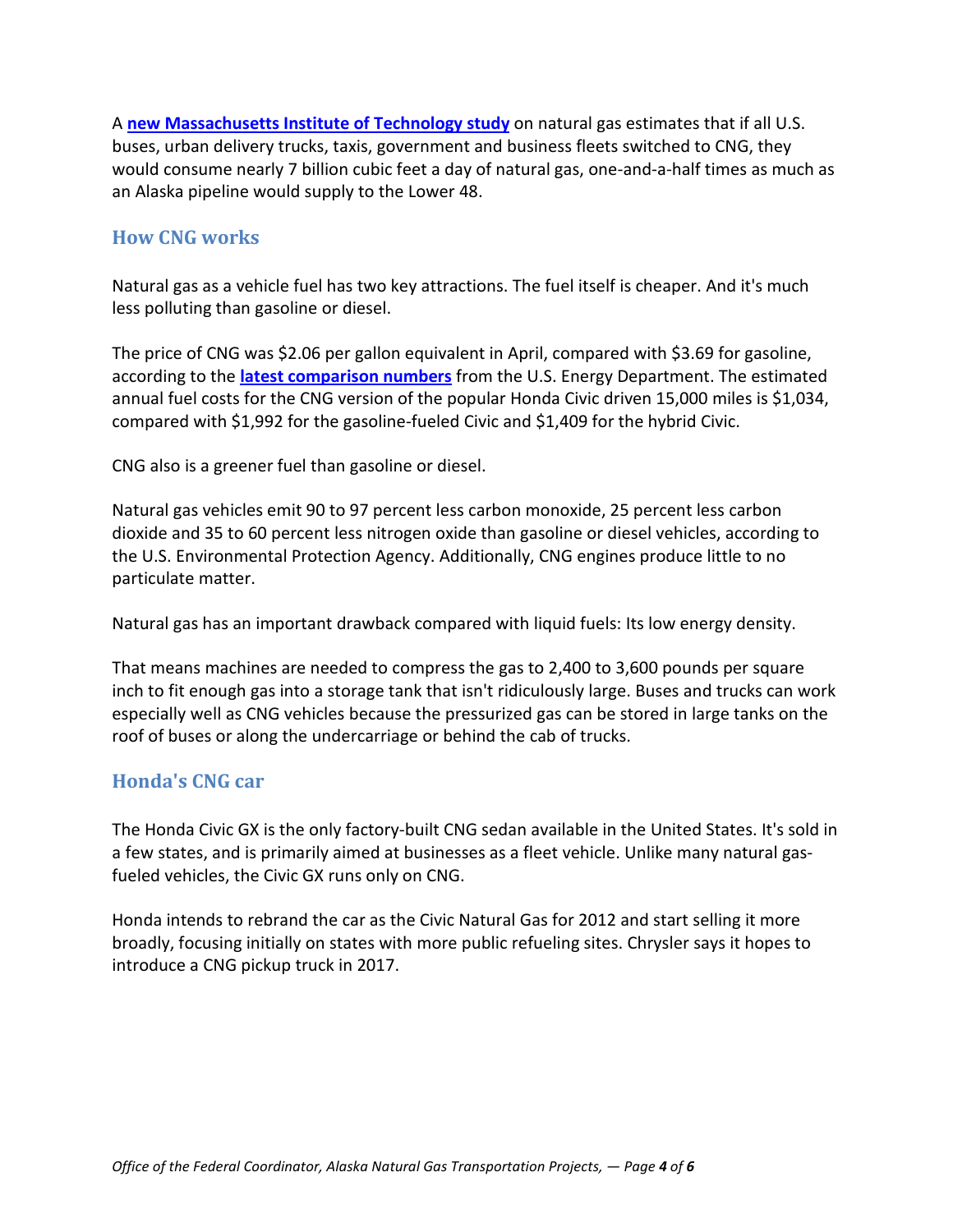A **[new Massachusetts Institute of Technology study](http://www.arcticgas.gov/sites/default/files/documents/2011-mit-future-natural-gas.pdf)** on natural gas estimates that if all U.S. buses, urban delivery trucks, taxis, government and business fleets switched to CNG, they would consume nearly 7 billion cubic feet a day of natural gas, one-and-a-half times as much as an Alaska pipeline would supply to the Lower 48.

## **How CNG works**

Natural gas as a vehicle fuel has two key attractions. The fuel itself is cheaper. And it's much less polluting than gasoline or diesel.

The price of CNG was \$2.06 per gallon equivalent in April, compared with \$3.69 for gasoline, according to the **[latest comparison numbers](http://www.fueleconomy.gov/feg/findacar.htm)** from the U.S. Energy Department. The estimated annual fuel costs for the CNG version of the popular Honda Civic driven 15,000 miles is \$1,034, compared with \$1,992 for the gasoline-fueled Civic and \$1,409 for the hybrid Civic.

CNG also is a greener fuel than gasoline or diesel.

Natural gas vehicles emit 90 to 97 percent less carbon monoxide, 25 percent less carbon dioxide and 35 to 60 percent less nitrogen oxide than gasoline or diesel vehicles, according to the U.S. Environmental Protection Agency. Additionally, CNG engines produce little to no particulate matter.

Natural gas has an important drawback compared with liquid fuels: Its low energy density.

That means machines are needed to compress the gas to 2,400 to 3,600 pounds per square inch to fit enough gas into a storage tank that isn't ridiculously large. Buses and trucks can work especially well as CNG vehicles because the pressurized gas can be stored in large tanks on the roof of buses or along the undercarriage or behind the cab of trucks.

## **Honda's CNG car**

The Honda Civic GX is the only factory-built CNG sedan available in the United States. It's sold in a few states, and is primarily aimed at businesses as a fleet vehicle. Unlike many natural gasfueled vehicles, the Civic GX runs only on CNG.

Honda intends to rebrand the car as the Civic Natural Gas for 2012 and start selling it more broadly, focusing initially on states with more public refueling sites. Chrysler says it hopes to introduce a CNG pickup truck in 2017.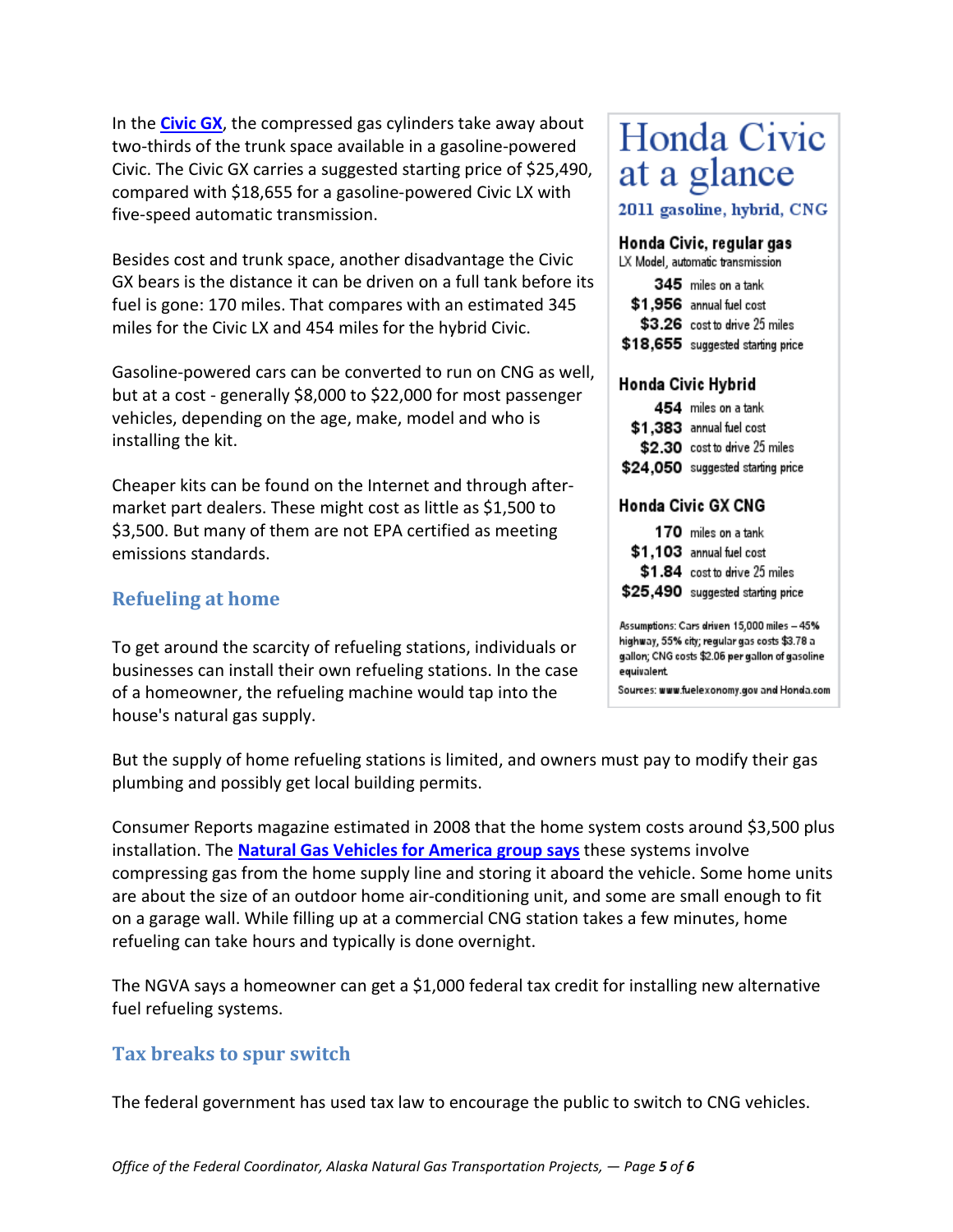In the **[Civic GX](http://www.hondainthenews.com/2012-honda-civic-natural-gas-is-the-ultimate-hybrid-alternative)**, the compressed gas cylinders take away about two-thirds of the trunk space available in a gasoline-powered Civic. The Civic GX carries a suggested starting price of \$25,490, compared with \$18,655 for a gasoline-powered Civic LX with five-speed automatic transmission.

Besides cost and trunk space, another disadvantage the Civic GX bears is the distance it can be driven on a full tank before its fuel is gone: 170 miles. That compares with an estimated 345 miles for the Civic LX and 454 miles for the hybrid Civic.

Gasoline-powered cars can be converted to run on CNG as well, but at a cost - generally \$8,000 to \$22,000 for most passenger vehicles, depending on the age, make, model and who is installing the kit.

Cheaper kits can be found on the Internet and through aftermarket part dealers. These might cost as little as \$1,500 to \$3,500. But many of them are not EPA certified as meeting emissions standards.

# **Refueling at home**

To get around the scarcity of refueling stations, individuals or businesses can install their own refueling stations. In the case of a homeowner, the refueling machine would tap into the house's natural gas supply.

# Honda Civic at a glance

2011 gasoline, hybrid, CNG

#### Honda Civic, regular gas

LX Model, automatic transmission

| 345 miles on a tank                |
|------------------------------------|
| \$1,956 annual fuel cost           |
| \$3.26 cost to drive 25 miles      |
| $$18,655$ suggested starting price |

#### Honda Civic Hybrid

| 454 miles on a tank               |
|-----------------------------------|
| \$1.383 annual fuel cost          |
| \$2.30 cost to drive 25 miles     |
| \$24,050 suggested starting price |

#### Honda Civic GX CNG

| 170 miles on a tank               |
|-----------------------------------|
| \$1,103 annual fuel cost          |
| \$1.84 cost to drive 25 miles     |
| \$25,490 suggested starting price |
|                                   |

Assumptions: Cars driven 15,000 miles - 45% highway, 55% city; regular gas costs \$3.78 a gallon; CNG costs \$2.06 per gallon of gasoline equivalent

Sources: www.fuelexonomy.gov and Honda.com

But the supply of home refueling stations is limited, and owners must pay to modify their gas plumbing and possibly get local building permits.

Consumer Reports magazine estimated in 2008 that the home system costs around \$3,500 plus installation. The **[Natural Gas Vehicles for America group says](http://www.ngvc.org/pdfs/FAQs_Converting_to_NGVs.pdf)** these systems involve compressing gas from the home supply line and storing it aboard the vehicle. Some home units are about the size of an outdoor home air-conditioning unit, and some are small enough to fit on a garage wall. While filling up at a commercial CNG station takes a few minutes, home refueling can take hours and typically is done overnight.

The NGVA says a homeowner can get a \$1,000 federal tax credit for installing new alternative fuel refueling systems.

### **Tax breaks to spur switch**

The federal government has used tax law to encourage the public to switch to CNG vehicles.